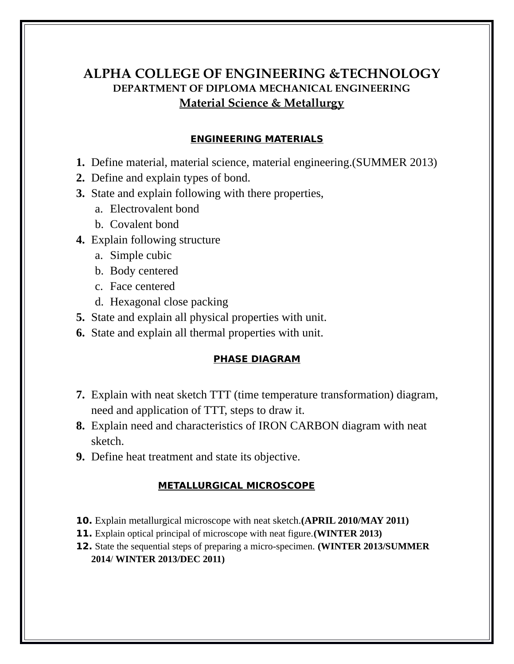# **ALPHA COLLEGE OF ENGINEERING &TECHNOLOGY DEPARTMENT OF DIPLOMA MECHANICAL ENGINEERING Material Science & Metallurgy**

### **ENGINEERING MATERIALS**

- **1.** Define material, material science, material engineering.(SUMMER 2013)
- **2.** Define and explain types of bond.
- **3.** State and explain following with there properties,
	- a. Electrovalent bond
	- b. Covalent bond
- **4.** Explain following structure
	- a. Simple cubic
	- b. Body centered
	- c. Face centered
	- d. Hexagonal close packing
- **5.** State and explain all physical properties with unit.
- **6.** State and explain all thermal properties with unit.

#### **PHASE DIAGRAM**

- **7.** Explain with neat sketch TTT (time temperature transformation) diagram, need and application of TTT, steps to draw it.
- **8.** Explain need and characteristics of IRON CARBON diagram with neat sketch.
- **9.** Define heat treatment and state its objective.

#### **METALLURGICAL MICROSCOPE**

- **10.** Explain metallurgical microscope with neat sketch.**(APRIL 2010/MAY 2011)**
- **11.** Explain optical principal of microscope with neat figure.**(WINTER 2013)**
- **12.** State the sequential steps of preparing a micro-specimen. **(WINTER 2013/SUMMER 2014**/ **WINTER 2013/DEC 2011)**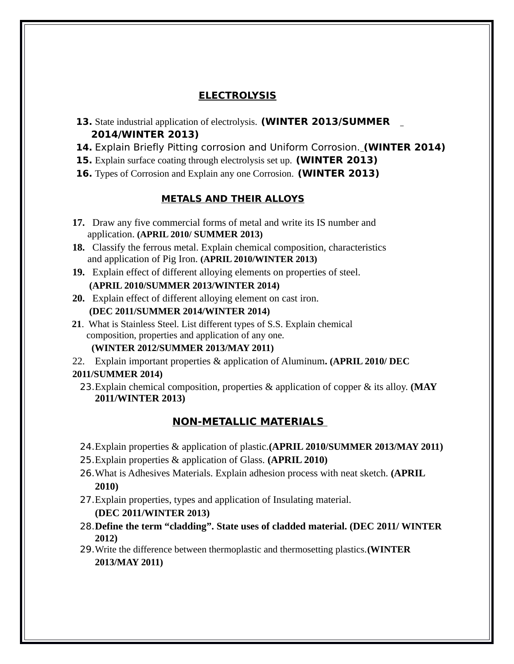# **ELECTROLYSIS**

- **13.** State industrial application of electrolysis. **(WINTER 2013/SUMMER 2014/WINTER 2013)**
- **14.** Explain Briefly Pitting corrosion and Uniform Corrosion. **(WINTER 2014)**
- **15.** Explain surface coating through electrolysis set up. **(WINTER 2013)**
- **16.** Types of Corrosion and Explain any one Corrosion. **(WINTER 2013)**

# **METALS AND THEIR ALLOYS**

- **17.** Draw any five commercial forms of metal and write its IS number and application. **(APRIL 2010/ SUMMER 2013)**
- **18.** Classify the ferrous metal. Explain chemical composition, characteristics and application of Pig Iron. **(APRIL 2010/WINTER 2013)**
- **19.** Explain effect of different alloying elements on properties of steel.  **(APRIL 2010/SUMMER 2013/WINTER 2014)**
- **20.** Explain effect of different alloying element on cast iron.  **(DEC 2011/SUMMER 2014/WINTER 2014)**
- **21**. What is Stainless Steel. List different types of S.S. Explain chemical composition, properties and application of any one.

## **(WINTER 2012/SUMMER 2013/MAY 2011)**

22. Explain important properties & application of Aluminum**. (APRIL 2010/ DEC** 

## **2011/SUMMER 2014)**

23.Explain chemical composition, properties & application of copper & its alloy. **(MAY 2011/WINTER 2013)**

# **NON-METALLIC MATERIALS**

- 24.Explain properties & application of plastic.**(APRIL 2010/SUMMER 2013/MAY 2011)**
- 25.Explain properties & application of Glass. **(APRIL 2010)**
- 26.What is Adhesives Materials. Explain adhesion process with neat sketch. **(APRIL 2010)**
- 27.Explain properties, types and application of Insulating material. **(DEC 2011/WINTER 2013)**
- 28.**Define the term "cladding". State uses of cladded material. (DEC 2011/ WINTER 2012)**
- 29.Write the difference between thermoplastic and thermosetting plastics.**(WINTER 2013/MAY 2011)**